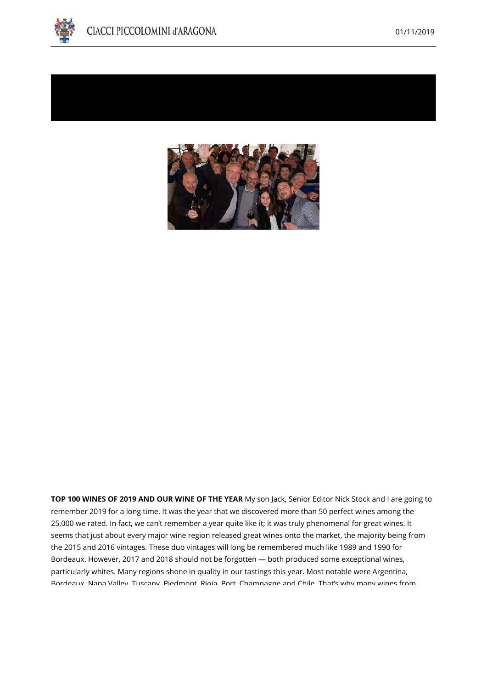



**TOP 100 WINES OF 2019 AND OUR WINE OF THE YEAR** My son Jack, Senior Editor Nick Stock and I are going to remember 2019 for a long time. It was the year that we discovered more than 50 perfect wines among the 25,000 we rated. In fact, we can't remember a year quite like it; it was truly phenomenal for great wines. It seems that just about every major wine region released great wines onto the market, the majority being from the 2015 and 2016 vintages. These duo vintages will long be remembered much like 1989 and 1990 for Bordeaux. However, 2017 and 2018 should not be forgotten — both produced some exceptional wines, particularly whites. Many regions shone in quality in our tastings this year. Most notable were Argentina, Bordeaux, Napa Valley, Tuscany, Piedmont, Rioja, Port, Champagne and Chile. That's why many wines from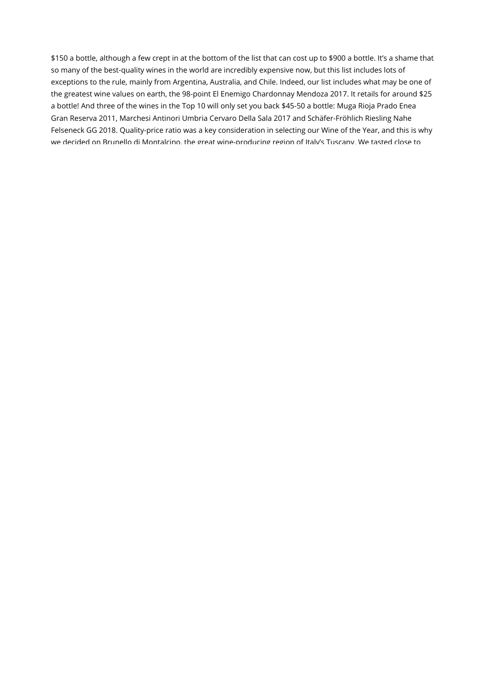\$150 a bottle, although a few crept in at the bottom of the list that can cost up to \$900 a bottle. It's a shame that so many of the best-quality wines in the world are incredibly expensive now, but this list includes lots of exceptions to the rule, mainly from Argentina, Australia, and Chile. Indeed, our list includes what may be one of the greatest wine values on earth, the 98-point El Enemigo Chardonnay Mendoza 2017. It retails for around \$25 a bottle! And three of the wines in the Top 10 will only set you back \$45-50 a bottle: Muga Rioja Prado Enea Gran Reserva 2011, Marchesi Antinori Umbria Cervaro Della Sala 2017 and Schäfer-Fröhlich Riesling Nahe Felseneck GG 2018. Quality-price ratio was a key consideration in selecting our Wine of the Year, and this is why we decided on Brunello di Montalcino, the great wine-producing region of Italy's Tuscany. We tasted close to